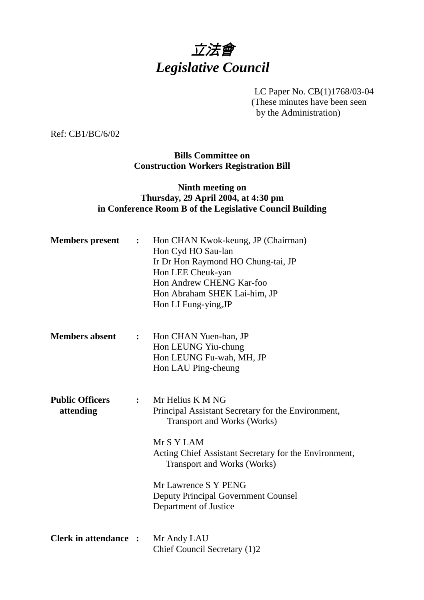# 立法會 *Legislative Council*

LC Paper No. CB(1)1768/03-04 (These minutes have been seen by the Administration)

Ref: CB1/BC/6/02

**Bills Committee on Construction Workers Registration Bill**

### **Ninth meeting on Thursday, 29 April 2004, at 4:30 pm in Conference Room B of the Legislative Council Building**

| <b>Members</b> present              | $\ddot{\cdot}$ | Hon CHAN Kwok-keung, JP (Chairman)<br>Hon Cyd HO Sau-lan<br>Ir Dr Hon Raymond HO Chung-tai, JP<br>Hon LEE Cheuk-yan<br>Hon Andrew CHENG Kar-foo<br>Hon Abraham SHEK Lai-him, JP<br>Hon LI Fung-ying, JP                                                                                                                  |
|-------------------------------------|----------------|--------------------------------------------------------------------------------------------------------------------------------------------------------------------------------------------------------------------------------------------------------------------------------------------------------------------------|
| <b>Members absent</b>               | $\ddot{\cdot}$ | Hon CHAN Yuen-han, JP<br>Hon LEUNG Yiu-chung<br>Hon LEUNG Fu-wah, MH, JP<br>Hon LAU Ping-cheung                                                                                                                                                                                                                          |
| <b>Public Officers</b><br>attending | $\ddot{\cdot}$ | Mr Helius K M NG<br>Principal Assistant Secretary for the Environment,<br><b>Transport and Works (Works)</b><br>Mr S Y LAM<br>Acting Chief Assistant Secretary for the Environment,<br><b>Transport and Works (Works)</b><br>Mr Lawrence S Y PENG<br><b>Deputy Principal Government Counsel</b><br>Department of Justice |
| <b>Clerk in attendance :</b>        |                | Mr Andy LAU<br>Chief Council Secretary (1)2                                                                                                                                                                                                                                                                              |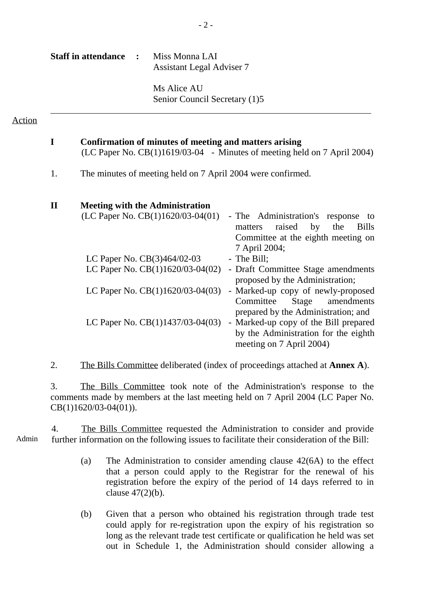| <b>Staff in attendance :</b> | Miss Monna LAI<br><b>Assistant Legal Adviser 7</b> |
|------------------------------|----------------------------------------------------|
|                              | Ms Alice AU<br>Senior Council Secretary (1)5       |
|                              |                                                    |

**I Confirmation of minutes of meeting and matters arising**

Action

## (LC Paper No. CB(1)1619/03-04 - Minutes of meeting held on 7 April 2004) 1. The minutes of meeting held on 7 April 2004 were confirmed. **II Meeting with the Administration**  $(LC$  Paper No.  $CB(1)1620/03-04(01)$  - The Administration's response to matters raised by the Bills Committee at the eighth meeting on 7 April 2004; LC Paper No. CB(3)464/02-03 - The Bill; LC Paper No. CB(1)1620/03-04(02) - Draft Committee Stage amendments proposed by the Administration; LC Paper No. CB(1)1620/03-04(03) - Marked-up copy of newly-proposed Committee Stage amendments prepared by the Administration; and LC Paper No.  $CB(1)1437/03-04(03)$  - Marked-up copy of the Bill prepared by the Administration for the eighth meeting on 7 April 2004)

2. The Bills Committee deliberated (index of proceedings attached at **Annex A**).

3. The Bills Committee took note of the Administration's response to the comments made by members at the last meeting held on 7 April 2004 (LC Paper No. CB(1)1620/03-04(01)).

Admin 4. The Bills Committee requested the Administration to consider and provide further information on the following issues to facilitate their consideration of the Bill:

- (a) The Administration to consider amending clause 42(6A) to the effect that a person could apply to the Registrar for the renewal of his registration before the expiry of the period of 14 days referred to in clause 47(2)(b).
- (b) Given that a person who obtained his registration through trade test could apply for re-registration upon the expiry of his registration so long as the relevant trade test certificate or qualification he held was set out in Schedule 1, the Administration should consider allowing a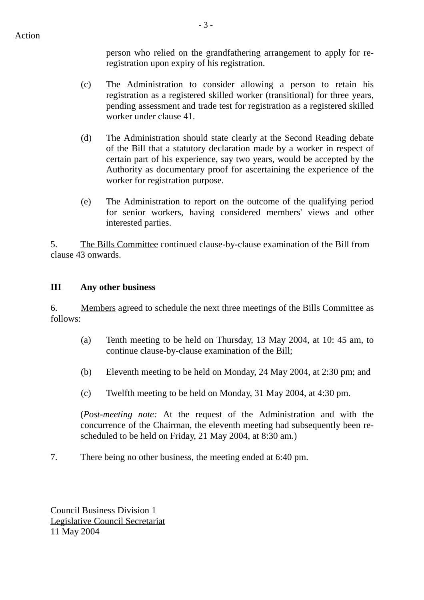person who relied on the grandfathering arrangement to apply for reregistration upon expiry of his registration.

- (c) The Administration to consider allowing a person to retain his registration as a registered skilled worker (transitional) for three years, pending assessment and trade test for registration as a registered skilled worker under clause 41.
- (d) The Administration should state clearly at the Second Reading debate of the Bill that a statutory declaration made by a worker in respect of certain part of his experience, say two years, would be accepted by the Authority as documentary proof for ascertaining the experience of the worker for registration purpose.
- (e) The Administration to report on the outcome of the qualifying period for senior workers, having considered members' views and other interested parties.

5. The Bills Committee continued clause-by-clause examination of the Bill from clause 43 onwards.

### **III Any other business**

6. Members agreed to schedule the next three meetings of the Bills Committee as follows:

- (a) Tenth meeting to be held on Thursday, 13 May 2004, at 10: 45 am, to continue clause-by-clause examination of the Bill;
- (b) Eleventh meeting to be held on Monday, 24 May 2004, at 2:30 pm; and
- (c) Twelfth meeting to be held on Monday, 31 May 2004, at 4:30 pm.

(*Post-meeting note:* At the request of the Administration and with the concurrence of the Chairman, the eleventh meeting had subsequently been rescheduled to be held on Friday, 21 May 2004, at 8:30 am.)

7. There being no other business, the meeting ended at 6:40 pm.

Council Business Division 1 Legislative Council Secretariat 11 May 2004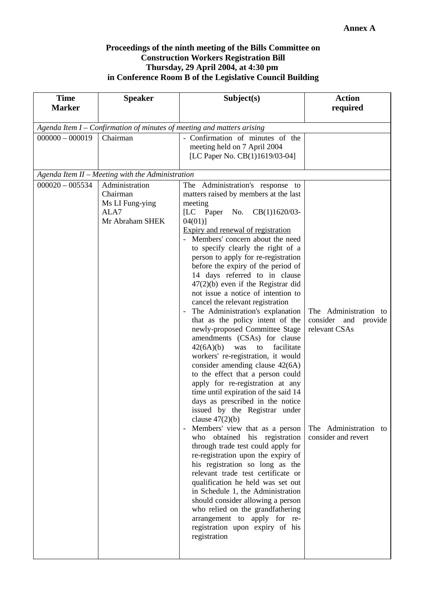#### **Proceedings of the ninth meeting of the Bills Committee on Construction Workers Registration Bill Thursday, 29 April 2004, at 4:30 pm in Conference Room B of the Legislative Council Building**

| <b>Time</b>                                                              | <b>Speaker</b>                                                           | Subject(s)                                                                                                                                                                                                                                                                                                                                                                                                                                                                                                                                                                                                                                                                                                                                                                                                                                                                                                                                                                                                                                                                                                                                                                                                                                                                                                                                                                                                                                         | <b>Action</b>                                                                                                     |  |  |  |  |
|--------------------------------------------------------------------------|--------------------------------------------------------------------------|----------------------------------------------------------------------------------------------------------------------------------------------------------------------------------------------------------------------------------------------------------------------------------------------------------------------------------------------------------------------------------------------------------------------------------------------------------------------------------------------------------------------------------------------------------------------------------------------------------------------------------------------------------------------------------------------------------------------------------------------------------------------------------------------------------------------------------------------------------------------------------------------------------------------------------------------------------------------------------------------------------------------------------------------------------------------------------------------------------------------------------------------------------------------------------------------------------------------------------------------------------------------------------------------------------------------------------------------------------------------------------------------------------------------------------------------------|-------------------------------------------------------------------------------------------------------------------|--|--|--|--|
| <b>Marker</b>                                                            |                                                                          |                                                                                                                                                                                                                                                                                                                                                                                                                                                                                                                                                                                                                                                                                                                                                                                                                                                                                                                                                                                                                                                                                                                                                                                                                                                                                                                                                                                                                                                    | required                                                                                                          |  |  |  |  |
| Agenda Item $I$ – Confirmation of minutes of meeting and matters arising |                                                                          |                                                                                                                                                                                                                                                                                                                                                                                                                                                                                                                                                                                                                                                                                                                                                                                                                                                                                                                                                                                                                                                                                                                                                                                                                                                                                                                                                                                                                                                    |                                                                                                                   |  |  |  |  |
| $000000 - 000019$                                                        | Chairman                                                                 | - Confirmation of minutes of the<br>meeting held on 7 April 2004<br>[LC Paper No. CB(1)1619/03-04]                                                                                                                                                                                                                                                                                                                                                                                                                                                                                                                                                                                                                                                                                                                                                                                                                                                                                                                                                                                                                                                                                                                                                                                                                                                                                                                                                 |                                                                                                                   |  |  |  |  |
|                                                                          | Agenda Item II - Meeting with the Administration                         |                                                                                                                                                                                                                                                                                                                                                                                                                                                                                                                                                                                                                                                                                                                                                                                                                                                                                                                                                                                                                                                                                                                                                                                                                                                                                                                                                                                                                                                    |                                                                                                                   |  |  |  |  |
| $000020 - 005534$                                                        | Administration<br>Chairman<br>Ms LI Fung-ying<br>ALA7<br>Mr Abraham SHEK | The Administration's response to<br>matters raised by members at the last<br>meeting<br>[LC Paper No.<br>CB(1)1620/03-<br>04(01)]<br>Expiry and renewal of registration<br>Members' concern about the need<br>to specify clearly the right of a<br>person to apply for re-registration<br>before the expiry of the period of<br>14 days referred to in clause<br>$47(2)(b)$ even if the Registrar did<br>not issue a notice of intention to<br>cancel the relevant registration<br>The Administration's explanation<br>that as the policy intent of the<br>newly-proposed Committee Stage<br>amendments (CSAs) for clause<br>facilitate<br>42(6A)(b)<br>was<br>to<br>workers' re-registration, it would<br>consider amending clause 42(6A)<br>to the effect that a person could<br>apply for re-registration at any<br>time until expiration of the said 14<br>days as prescribed in the notice<br>issued by the Registrar under<br>clause $47(2)(b)$<br>Members' view that as a person<br>$\overline{\phantom{a}}$<br>obtained his registration<br>who<br>through trade test could apply for<br>re-registration upon the expiry of<br>his registration so long as the<br>relevant trade test certificate or<br>qualification he held was set out<br>in Schedule 1, the Administration<br>should consider allowing a person<br>who relied on the grandfathering<br>arrangement to apply for re-<br>registration upon expiry of his<br>registration | The Administration to<br>consider and<br>provide<br>relevant CSAs<br>The Administration to<br>consider and revert |  |  |  |  |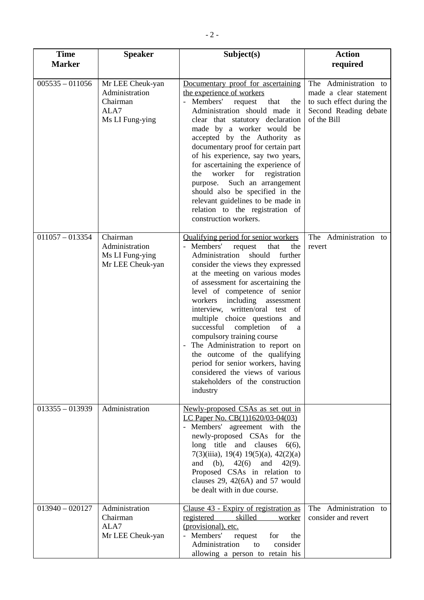| <b>Time</b><br><b>Marker</b> | <b>Speaker</b>                                                            | Subject(s)                                                                                                                                                                                                                                                                                                                                                                                                                                                                                                                                                                                                                      | <b>Action</b>                                                                                                        |
|------------------------------|---------------------------------------------------------------------------|---------------------------------------------------------------------------------------------------------------------------------------------------------------------------------------------------------------------------------------------------------------------------------------------------------------------------------------------------------------------------------------------------------------------------------------------------------------------------------------------------------------------------------------------------------------------------------------------------------------------------------|----------------------------------------------------------------------------------------------------------------------|
|                              |                                                                           |                                                                                                                                                                                                                                                                                                                                                                                                                                                                                                                                                                                                                                 | required                                                                                                             |
| $005535 - 011056$            | Mr LEE Cheuk-yan<br>Administration<br>Chairman<br>ALA7<br>Ms LI Fung-ying | Documentary proof for ascertaining<br>the experience of workers<br>Members'<br>request<br>that<br>the<br>Administration should made it<br>clear that statutory declaration<br>made by a worker would be<br>accepted by the Authority as<br>documentary proof for certain part<br>of his experience, say two years,<br>for ascertaining the experience of<br>worker<br>for registration<br>the<br>Such an arrangement<br>purpose.<br>should also be specified in the<br>relevant guidelines to be made in<br>relation to the registration of<br>construction workers.                                                            | The Administration to<br>made a clear statement<br>to such effect during the<br>Second Reading debate<br>of the Bill |
| $011057 - 013354$            | Chairman<br>Administration<br>Ms LI Fung-ying<br>Mr LEE Cheuk-yan         | Qualifying period for senior workers<br>Members'<br>the<br>request<br>that<br>Administration should<br>further<br>consider the views they expressed<br>at the meeting on various modes<br>of assessment for ascertaining the<br>level of competence of senior<br>workers including assessment<br>interview, written/oral test of<br>multiple choice questions and<br>successful<br>completion of<br>a<br>compulsory training course<br>The Administration to report on<br>the outcome of the qualifying<br>period for senior workers, having<br>considered the views of various<br>stakeholders of the construction<br>industry | The Administration to<br>revert                                                                                      |
| $013355 - 013939$            | Administration                                                            | Newly-proposed CSAs as set out in<br>LC Paper No. CB(1)1620/03-04(03)<br>- Members' agreement with the<br>newly-proposed CSAs for the<br>long title and clauses<br>$6(6)$ ,<br>7(3)(iiia), 19(4) 19(5)(a), 42(2)(a)<br>and (b), $42(6)$ and $42(9)$ .<br>Proposed CSAs in relation to<br>clauses $29, 42(6A)$ and $57$ would<br>be dealt with in due course.                                                                                                                                                                                                                                                                    |                                                                                                                      |
| $013940 - 020127$            | Administration<br>Chairman<br>ALA7<br>Mr LEE Cheuk-yan                    | Clause 43 - Expiry of registration as<br>registered skilled worker<br>(provisional), etc.<br>- Members'<br>request<br>for<br>the<br>Administration<br>to<br>consider<br>allowing a person to retain his                                                                                                                                                                                                                                                                                                                                                                                                                         | The Administration to<br>consider and revert                                                                         |